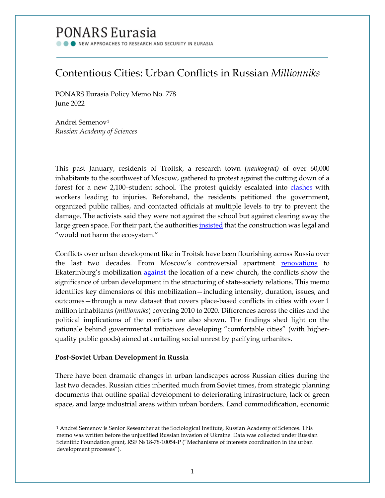# PONARS Eurasia

NEW APPROACHES TO RESEARCH AND SECURITY IN EURASIA

# Contentious Cities: Urban Conflicts in Russian *Millionniks*

PONARS Eurasia Policy Memo No. 778 June 2022

Andrei Semenov[1](#page-0-0) *Russian Academy of Sciences*

This past January, residents of Troitsk, a research town (*naukograd)* of over 60,000 inhabitants to the southwest of Moscow, gathered to protest against the cutting down of a forest for a new 2,100–student school. The protest quickly escalated into [clashes](https://www.themoscowtimes.com/2022/02/02/clashes-break-out-over-plans-to-clear-moscow-forest-a76232) with workers leading to injuries. Beforehand, the residents petitioned the government, organized public rallies, and contacted officials at multiple levels to try to prevent the damage. The activists said they were not against the school but against clearing away the large green space. For their part, the authorities [insisted](https://www.kommersant.ru/doc/5192776) that the construction was legal and "would not harm the ecosystem."

Conflicts over urban development like in Troitsk have been flourishing across Russia over the last two decades. From Moscow's controversial apartment [renovations](https://www.vocaleurope.eu/building-blocs-why-moscow-is-pursuing-its-apartment-renovation-program/) to Ekaterinburg's mobilization [against](https://www.bbc.com/news/world-europe-48276170) the location of a new church, the conflicts show the significance of urban development in the structuring of state-society relations. This memo identifies key dimensions of this mobilization—including intensity, duration, issues, and outcomes—through a new dataset that covers place-based conflicts in cities with over 1 million inhabitants (*millionniks*) covering 2010 to 2020. Differences across the cities and the political implications of the conflicts are also shown. The findings shed light on the rationale behind governmental initiatives developing "comfortable cities" (with higherquality public goods) aimed at curtailing social unrest by pacifying urbanites.

## **Post-Soviet Urban Development in Russia**

 $\overline{\phantom{a}}$ 

There have been dramatic changes in urban landscapes across Russian cities during the last two decades. Russian cities inherited much from Soviet times, from strategic planning documents that outline spatial development to deteriorating infrastructure, lack of green space, and large industrial areas within urban borders. Land commodification, economic

<span id="page-0-0"></span><sup>&</sup>lt;sup>1</sup> Andrei Semenov is Senior Researcher at the Sociological Institute, Russian Academy of Sciences. This memo was written before the unjustified Russian invasion of Ukraine. Data was collected under Russian Scientific Foundation grant, RSF № 18-78-10054-P ("Mechanisms of interests coordination in the urban development processes").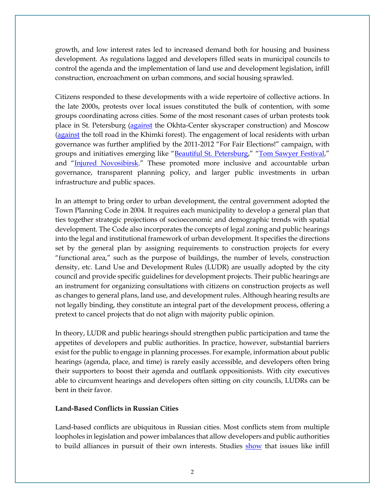growth, and low interest rates led to increased demand both for housing and business development. As regulations lagged and developers filled seats in municipal councils to control the agenda and the implementation of land use and development legislation, infill construction, encroachment on urban commons, and social housing sprawled.

Citizens responded to these developments with a wide repertoire of collective actions. In the late 2000s, protests over local issues constituted the bulk of contention, with some groups coordinating across cities. Some of the most resonant cases of urban protests took place in St. Petersburg [\(against](https://onlinelibrary.wiley.com/doi/full/10.1111/j.1468-2427.2009.00871.x) the Okhta-Center skyscraper construction) and Moscow [\(against](https://online.ucpress.edu/cpcs/article-abstract/45/3-4/233/231/Protests-and-civil-society-in-Russia-The-struggle) the toll road in the Khimki forest). The engagement of local residents with urban governance was further amplified by the 2011-2012 "For Fair Elections!" campaign, with groups and initiatives emerging like ["Beautiful St. Petersburg,](http://krasimir.org/about)" ["Tom Sawyer Festi](http://tsfest.ru/)val," and ["Injured Novosibirsk.](https://www.facebook.com/kalekansk/)" These promoted more inclusive and accountable urban governance, transparent planning policy, and larger public investments in urban infrastructure and public spaces.

In an attempt to bring order to urban development, the central government adopted the Town Planning Code in 2004. It requires each municipality to develop a general plan that ties together strategic projections of socioeconomic and demographic trends with spatial development. The Code also incorporates the concepts of legal zoning and public hearings into the legal and institutional framework of urban development. It specifies the directions set by the general plan by assigning requirements to construction projects for every "functional area," such as the purpose of buildings, the number of levels, construction density, etc. Land Use and Development Rules (LUDR) are usually adopted by the city council and provide specific guidelines for development projects. Their public hearings are an instrument for organizing consultations with citizens on construction projects as well as changes to general plans, land use, and development rules. Although hearing results are not legally binding, they constitute an integral part of the development process, offering a pretext to cancel projects that do not align with majority public opinion.

In theory, LUDR and public hearings should strengthen public participation and tame the appetites of developers and public authorities. In practice, however, substantial barriers exist for the public to engage in planning processes. For example, information about public hearings (agenda, place, and time) is rarely easily accessible, and developers often bring their supporters to boost their agenda and outflank oppositionists. With city executives able to circumvent hearings and developers often sitting on city councils, LUDRs can be bent in their favor.

## **Land-Based Conflicts in Russian Cities**

Land-based conflicts are ubiquitous in Russian cities. Most conflicts stem from multiple loopholes in legislation and power imbalances that allow developers and public authorities to build alliances in pursuit of their own interests. Studies [show](http://socis.isras.ru/article/7926) that issues like infill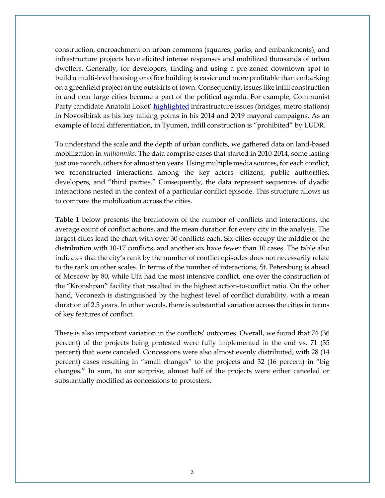construction, encroachment on urban commons (squares, parks, and embankments), and infrastructure projects have elicited intense responses and mobilized thousands of urban dwellers. Generally, for developers, finding and using a pre-zoned downtown spot to build a multi-level housing or office building is easier and more profitable than embarking on a greenfield project on the outskirts of town. Consequently, issues like infill construction in and near large cities became a part of the political agenda. For example, Communist Party candidate Anatolii Lokot' [highlighted](https://ngs.ru/text/gorod/2019/09/25/66230209/) infrastructure issues (bridges, metro stations) in Novosibirsk as his key talking points in his 2014 and 2019 mayoral campaigns. As an example of local differentiation, in Tyumen, infill construction is "prohibited" by LUDR.

To understand the scale and the depth of urban conflicts, we gathered data on land-based mobilization in *millionniks*. The data comprise cases that started in 2010-2014, some lasting just one month, others for almost ten years. Using multiple media sources, for each conflict, we reconstructed interactions among the key actors—citizens, public authorities, developers, and "third parties." Consequently, the data represent sequences of dyadic interactions nested in the context of a particular conflict episode. This structure allows us to compare the mobilization across the cities.

**Table 1** below presents the breakdown of the number of conflicts and interactions, the average count of conflict actions, and the mean duration for every city in the analysis. The largest cities lead the chart with over 30 conflicts each. Six cities occupy the middle of the distribution with 10-17 conflicts, and another six have fewer than 10 cases. The table also indicates that the city's rank by the number of conflict episodes does not necessarily relate to the rank on other scales. In terms of the number of interactions, St. Petersburg is ahead of Moscow by 80, while Ufa had the most intensive conflict, one over the construction of the "Kronshpan" facility that resulted in the highest action-to-conflict ratio. On the other hand, Voronezh is distinguished by the highest level of conflict durability, with a mean duration of 2.5 years. In other words, there is substantial variation across the cities in terms of key features of conflict.

There is also important variation in the conflicts' outcomes. Overall, we found that 74 (36 percent) of the projects being protested were fully implemented in the end vs. 71 (35 percent) that were canceled. Concessions were also almost evenly distributed, with 28 (14 percent) cases resulting in "small changes" to the projects and 32 (16 percent) in "big changes." In sum, to our surprise, almost half of the projects were either canceled or substantially modified as concessions to protesters.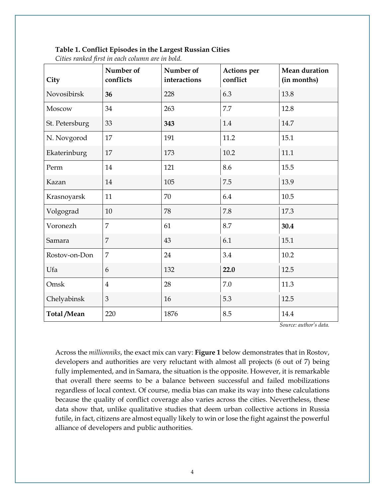#### **Table 1. Conflict Episodes in the Largest Russian Cities**

| City           | Number of<br>conflicts | Number of<br>interactions | <b>Actions</b> per<br>conflict | <b>Mean duration</b><br>(in months) |
|----------------|------------------------|---------------------------|--------------------------------|-------------------------------------|
| Novosibirsk    | 36                     | 228                       | 6.3                            | 13.8                                |
| Moscow         | 34                     | 263                       | 7.7                            | 12.8                                |
| St. Petersburg | 33                     | 343                       | 1.4                            | 14.7                                |
| N. Novgorod    | 17                     | 191                       | 11.2                           | 15.1                                |
| Ekaterinburg   | 17                     | 173                       | 10.2                           | 11.1                                |
| Perm           | 14                     | 121                       | 8.6                            | 15.5                                |
| Kazan          | 14                     | 105                       | 7.5                            | 13.9                                |
| Krasnoyarsk    | 11                     | 70                        | 6.4                            | 10.5                                |
| Volgograd      | 10                     | 78                        | 7.8                            | 17.3                                |
| Voronezh       | 7                      | 61                        | 8.7                            | 30.4                                |
| Samara         | $\overline{7}$         | 43                        | 6.1                            | 15.1                                |
| Rostov-on-Don  | $\overline{7}$         | 24                        | 3.4                            | 10.2                                |
| Ufa            | 6                      | 132                       | 22.0                           | 12.5                                |
| Omsk           | $\overline{4}$         | 28                        | 7.0                            | 11.3                                |
| Chelyabinsk    | 3                      | 16                        | 5.3                            | 12.5                                |
| Total/Mean     | 220                    | 1876                      | 8.5                            | 14.4                                |

*Cities ranked first in each column are in bold.*

*Source: author's data.*

Across the *millionniks*, the exact mix can vary: **Figure 1** below demonstrates that in Rostov, developers and authorities are very reluctant with almost all projects (6 out of 7) being fully implemented, and in Samara, the situation is the opposite. However, it is remarkable that overall there seems to be a balance between successful and failed mobilizations regardless of local context. Of course, media bias can make its way into these calculations because the quality of conflict coverage also varies across the cities. Nevertheless, these data show that, unlike qualitative studies that deem urban collective actions in Russia futile, in fact, citizens are almost equally likely to win or lose the fight against the powerful alliance of developers and public authorities.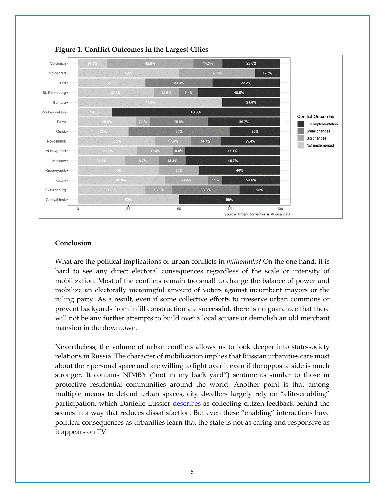

#### **Figure 1. Conflict Outcomes in the Largest Cities**

## **Conclusion**

What are the political implications of urban conflicts in *millionniks*? On the one hand, it is hard to see any direct electoral consequences regardless of the scale or intensity of mobilization. Most of the conflicts remain too small to change the balance of power and mobilize an electorally meaningful amount of voters against incumbent mayors or the ruling party. As a result, even if some collective efforts to preserve urban commons or prevent backyards from infill construction are successful, there is no guarantee that there will not be any further attempts to build over a local square or demolish an old merchant mansion in the downtown.

Nevertheless, the volume of urban conflicts allows us to look deeper into state-society relations in Russia. The character of mobilization implies that Russian urbanities care most about their personal space and are willing to fight over it even if the opposite side is much stronger. It contains NIMBY ("not in my back yard") sentiments similar to those in protective residential communities around the world. Another point is that among multiple means to defend urban spaces, city dwellers largely rely on "elite-enabling" participation, which Danielle Lussier [describes](https://www.ponarseurasia.org/wp-content/uploads/2021/05/Pepm699_Lussier_May2021.pdf) as collecting citizen feedback behind the scenes in a way that reduces dissatisfaction. But even these "enabling" interactions have political consequences as urbanities learn that the state is not as caring and responsive as it appears on TV.